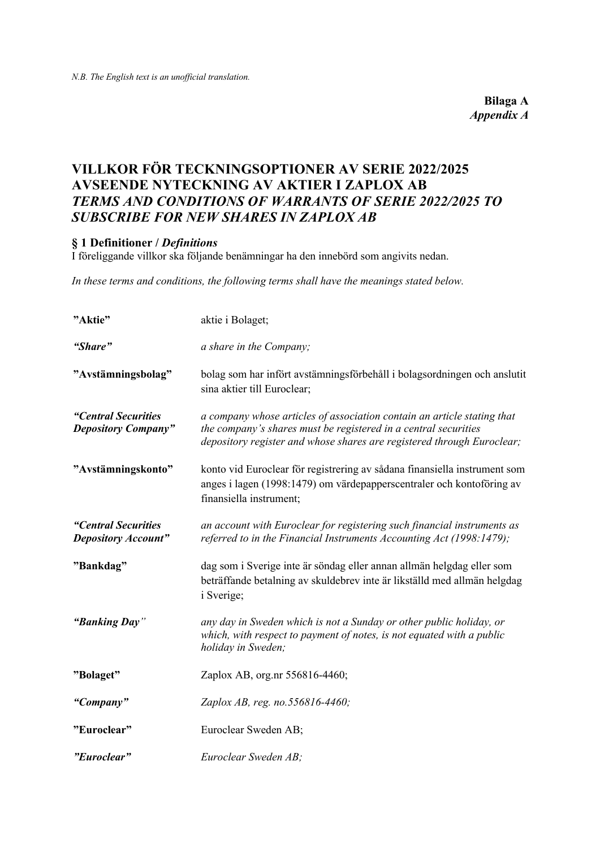**Bilaga A** *Appendix A*

# **VILLKOR FÖR TECKNINGSOPTIONER AV SERIE 2022/2025 AVSEENDE NYTECKNING AV AKTIER I ZAPLOX AB** *TERMS AND CONDITIONS OF WARRANTS OF SERIE 2022/2025 TO SUBSCRIBE FOR NEW SHARES IN ZAPLOX AB*

## **§ 1 Definitioner /** *Definitions*

I föreliggande villkor ska följande benämningar ha den innebörd som angivits nedan.

*In these terms and conditions, the following terms shall have the meanings stated below.*

| "Aktie"                                           | aktie i Bolaget;                                                                                                                                                                                                     |
|---------------------------------------------------|----------------------------------------------------------------------------------------------------------------------------------------------------------------------------------------------------------------------|
| "Share"                                           | a share in the Company;                                                                                                                                                                                              |
| "Avstämningsbolag"                                | bolag som har infört avstämningsförbehåll i bolagsordningen och anslutit<br>sina aktier till Euroclear;                                                                                                              |
| "Central Securities<br><b>Depository Company"</b> | a company whose articles of association contain an article stating that<br>the company's shares must be registered in a central securities<br>depository register and whose shares are registered through Euroclear; |
| "Avstämningskonto"                                | konto vid Euroclear för registrering av sådana finansiella instrument som<br>anges i lagen (1998:1479) om värdepapperscentraler och kontoföring av<br>finansiella instrument;                                        |
| "Central Securities<br><b>Depository Account"</b> | an account with Euroclear for registering such financial instruments as<br>referred to in the Financial Instruments Accounting Act (1998:1479);                                                                      |
| "Bankdag"                                         | dag som i Sverige inte är söndag eller annan allmän helgdag eller som<br>beträffande betalning av skuldebrev inte är likställd med allmän helgdag<br><i>i</i> Sverige;                                               |
| "Banking Day"                                     | any day in Sweden which is not a Sunday or other public holiday, or<br>which, with respect to payment of notes, is not equated with a public<br>holiday in Sweden;                                                   |
| "Bolaget"                                         | Zaplox AB, org.nr 556816-4460;                                                                                                                                                                                       |
| "Company"                                         | Zaplox AB, reg. no.556816-4460;                                                                                                                                                                                      |
| "Euroclear"                                       | Euroclear Sweden AB;                                                                                                                                                                                                 |
| "Euroclear"                                       | Euroclear Sweden AB;                                                                                                                                                                                                 |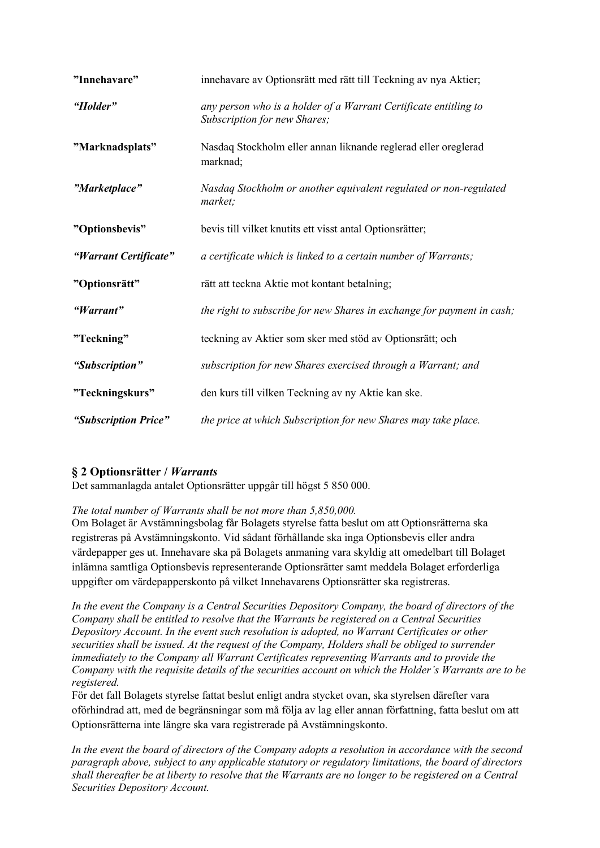| "Innehavare"          | innehavare av Optionsrätt med rätt till Teckning av nya Aktier;                                  |
|-----------------------|--------------------------------------------------------------------------------------------------|
| "Holder"              | any person who is a holder of a Warrant Certificate entitling to<br>Subscription for new Shares; |
| "Marknadsplats"       | Nasdaq Stockholm eller annan liknande reglerad eller oreglerad<br>marknad;                       |
| "Marketplace"         | Nasdaq Stockholm or another equivalent regulated or non-regulated<br>market;                     |
| "Optionsbevis"        | bevis till vilket knutits ett visst antal Optionsrätter;                                         |
| "Warrant Certificate" | a certificate which is linked to a certain number of Warrants;                                   |
| "Optionsrätt"         | rätt att teckna Aktie mot kontant betalning;                                                     |
| "Warrant"             | the right to subscribe for new Shares in exchange for payment in cash;                           |
| "Teckning"            | teckning av Aktier som sker med stöd av Optionsrätt; och                                         |
| "Subscription"        | subscription for new Shares exercised through a Warrant; and                                     |
| "Teckningskurs"       | den kurs till vilken Teckning av ny Aktie kan ske.                                               |
| "Subscription Price"  | the price at which Subscription for new Shares may take place.                                   |

### **§ 2 Optionsrätter /** *Warrants*

Det sammanlagda antalet Optionsrätter uppgår till högst 5 850 000.

*The total number of Warrants shall be not more than 5,850,000.*

Om Bolaget är Avstämningsbolag får Bolagets styrelse fatta beslut om att Optionsrätterna ska registreras på Avstämningskonto. Vid sådant förhållande ska inga Optionsbevis eller andra värdepapper ges ut. Innehavare ska på Bolagets anmaning vara skyldig att omedelbart till Bolaget inlämna samtliga Optionsbevis representerande Optionsrätter samt meddela Bolaget erforderliga uppgifter om värdepapperskonto på vilket Innehavarens Optionsrätter ska registreras.

*In the event the Company is a Central Securities Depository Company, the board of directors of the Company shall be entitled to resolve that the Warrants be registered on a Central Securities Depository Account. In the event such resolution is adopted, no Warrant Certificates or other securities shall be issued. At the request of the Company, Holders shall be obliged to surrender immediately to the Company all Warrant Certificates representing Warrants and to provide the Company with the requisite details of the securities account on which the Holder's Warrants are to be registered.*

För det fall Bolagets styrelse fattat beslut enligt andra stycket ovan, ska styrelsen därefter vara oförhindrad att, med de begränsningar som må följa av lag eller annan författning, fatta beslut om att Optionsrätterna inte längre ska vara registrerade på Avstämningskonto.

*In the event the board of directors of the Company adopts a resolution in accordance with the second paragraph above, subject to any applicable statutory or regulatory limitations, the board of directors shall thereafter be at liberty to resolve that the Warrants are no longer to be registered on a Central Securities Depository Account.*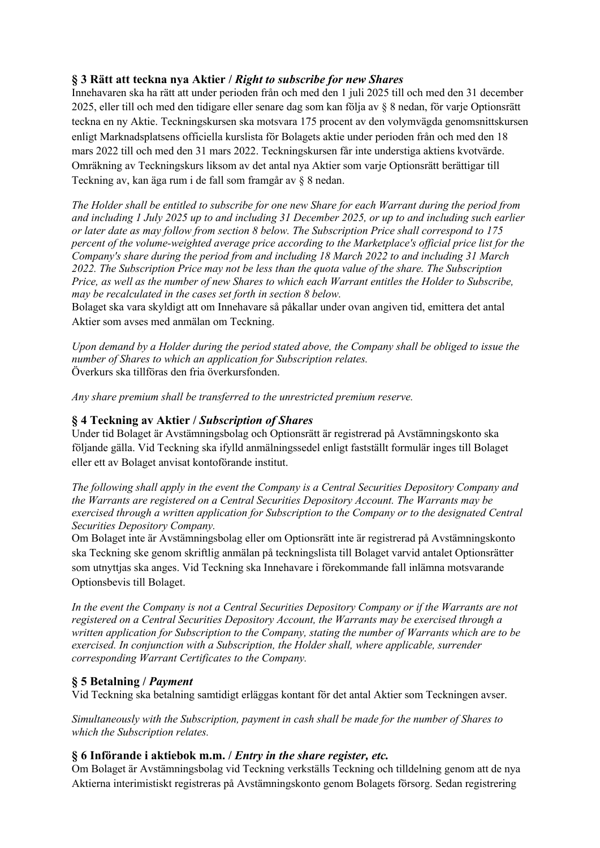### **§ 3 Rätt att teckna nya Aktier /** *Right to subscribe for new Shares*

Innehavaren ska ha rätt att under perioden från och med den 1 juli 2025 till och med den 31 december 2025, eller till och med den tidigare eller senare dag som kan följa av § 8 nedan, för varje Optionsrätt teckna en ny Aktie. Teckningskursen ska motsvara 175 procent av den volymvägda genomsnittskursen enligt Marknadsplatsens officiella kurslista för Bolagets aktie under perioden från och med den 18 mars 2022 till och med den 31 mars 2022. Teckningskursen får inte understiga aktiens kvotvärde. Omräkning av Teckningskurs liksom av det antal nya Aktier som varje Optionsrätt berättigar till Teckning av, kan äga rum i de fall som framgår av § 8 nedan.

*The Holder shall be entitled to subscribe for one new Share for each Warrant during the period from and including 1 July 2025 up to and including 31 December 2025, or up to and including such earlier or later date as may follow from section 8 below. The Subscription Price shall correspond to 175 percent of the volume-weighted average price according to the Marketplace's official price list for the Company's share during the period from and including 18 March 2022 to and including 31 March 2022. The Subscription Price may not be less than the quota value of the share. The Subscription Price, as well as the number of new Shares to which each Warrant entitles the Holder to Subscribe, may be recalculated in the cases set forth in section 8 below.*

Bolaget ska vara skyldigt att om Innehavare så påkallar under ovan angiven tid, emittera det antal Aktier som avses med anmälan om Teckning.

*Upon demand by a Holder during the period stated above, the Company shall be obliged to issue the number of Shares to which an application for Subscription relates.* Överkurs ska tillföras den fria överkursfonden.

*Any share premium shall be transferred to the unrestricted premium reserve.*

### **§ 4 Teckning av Aktier /** *Subscription of Shares*

Under tid Bolaget är Avstämningsbolag och Optionsrätt är registrerad på Avstämningskonto ska följande gälla. Vid Teckning ska ifylld anmälningssedel enligt fastställt formulär inges till Bolaget eller ett av Bolaget anvisat kontoförande institut.

*The following shall apply in the event the Company is a Central Securities Depository Company and the Warrants are registered on a Central Securities Depository Account. The Warrants may be exercised through a written application for Subscription to the Company or to the designated Central Securities Depository Company.*

Om Bolaget inte är Avstämningsbolag eller om Optionsrätt inte är registrerad på Avstämningskonto ska Teckning ske genom skriftlig anmälan på teckningslista till Bolaget varvid antalet Optionsrätter som utnyttjas ska anges. Vid Teckning ska Innehavare i förekommande fall inlämna motsvarande Optionsbevis till Bolaget.

*In the event the Company is not a Central Securities Depository Company or if the Warrants are not registered on a Central Securities Depository Account, the Warrants may be exercised through a written application for Subscription to the Company, stating the number of Warrants which are to be exercised. In conjunction with a Subscription, the Holder shall, where applicable, surrender corresponding Warrant Certificates to the Company.*

### **§ 5 Betalning /** *Payment*

Vid Teckning ska betalning samtidigt erläggas kontant för det antal Aktier som Teckningen avser.

*Simultaneously with the Subscription, payment in cash shall be made for the number of Shares to which the Subscription relates.*

### **§ 6 Införande i aktiebok m.m. /** *Entry in the share register, etc.*

Om Bolaget är Avstämningsbolag vid Teckning verkställs Teckning och tilldelning genom att de nya Aktierna interimistiskt registreras på Avstämningskonto genom Bolagets försorg. Sedan registrering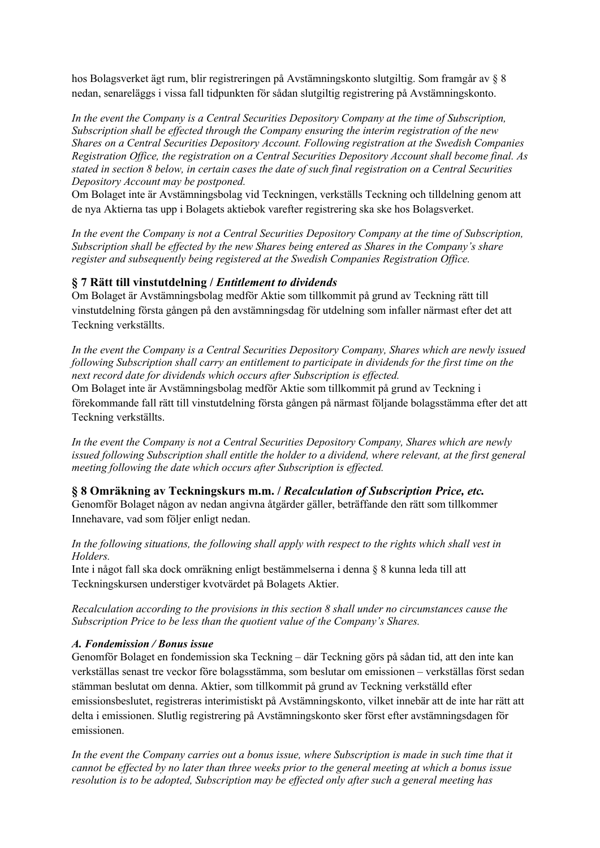hos Bolagsverket ägt rum, blir registreringen på Avstämningskonto slutgiltig. Som framgår av § 8 nedan, senareläggs i vissa fall tidpunkten för sådan slutgiltig registrering på Avstämningskonto.

*In the event the Company is a Central Securities Depository Company at the time of Subscription, Subscription shall be effected through the Company ensuring the interim registration of the new Shares on a Central Securities Depository Account. Following registration at the Swedish Companies Registration Office, the registration on a Central Securities Depository Account shall become final. As stated in section 8 below, in certain cases the date of such final registration on a Central Securities Depository Account may be postponed.*

Om Bolaget inte är Avstämningsbolag vid Teckningen, verkställs Teckning och tilldelning genom att de nya Aktierna tas upp i Bolagets aktiebok varefter registrering ska ske hos Bolagsverket.

*In the event the Company is not a Central Securities Depository Company at the time of Subscription, Subscription shall be effected by the new Shares being entered as Shares in the Company's share register and subsequently being registered at the Swedish Companies Registration Office.*

### **§ 7 Rätt till vinstutdelning /** *Entitlement to dividends*

Om Bolaget är Avstämningsbolag medför Aktie som tillkommit på grund av Teckning rätt till vinstutdelning första gången på den avstämningsdag för utdelning som infaller närmast efter det att Teckning verkställts.

*In the event the Company is a Central Securities Depository Company, Shares which are newly issued following Subscription shall carry an entitlement to participate in dividends for the first time on the next record date for dividends which occurs after Subscription is effected.*

Om Bolaget inte är Avstämningsbolag medför Aktie som tillkommit på grund av Teckning i förekommande fall rätt till vinstutdelning första gången på närmast följande bolagsstämma efter det att Teckning verkställts.

*In the event the Company is not a Central Securities Depository Company, Shares which are newly issued following Subscription shall entitle the holder to a dividend, where relevant, at the first general meeting following the date which occurs after Subscription is effected.*

### **§ 8 Omräkning av Teckningskurs m.m. /** *Recalculation of Subscription Price, etc.*

Genomför Bolaget någon av nedan angivna åtgärder gäller, beträffande den rätt som tillkommer Innehavare, vad som följer enligt nedan.

#### *In the following situations, the following shall apply with respect to the rights which shall vest in Holders.*

Inte i något fall ska dock omräkning enligt bestämmelserna i denna § 8 kunna leda till att Teckningskursen understiger kvotvärdet på Bolagets Aktier.

*Recalculation according to the provisions in this section 8 shall under no circumstances cause the Subscription Price to be less than the quotient value of the Company's Shares.*

#### *A. Fondemission / Bonus issue*

Genomför Bolaget en fondemission ska Teckning – där Teckning görs på sådan tid, att den inte kan verkställas senast tre veckor före bolagsstämma, som beslutar om emissionen – verkställas först sedan stämman beslutat om denna. Aktier, som tillkommit på grund av Teckning verkställd efter emissionsbeslutet, registreras interimistiskt på Avstämningskonto, vilket innebär att de inte har rätt att delta i emissionen. Slutlig registrering på Avstämningskonto sker först efter avstämningsdagen för emissionen.

*In the event the Company carries out a bonus issue, where Subscription is made in such time that it cannot be effected by no later than three weeks prior to the general meeting at which a bonus issue resolution is to be adopted, Subscription may be effected only after such a general meeting has*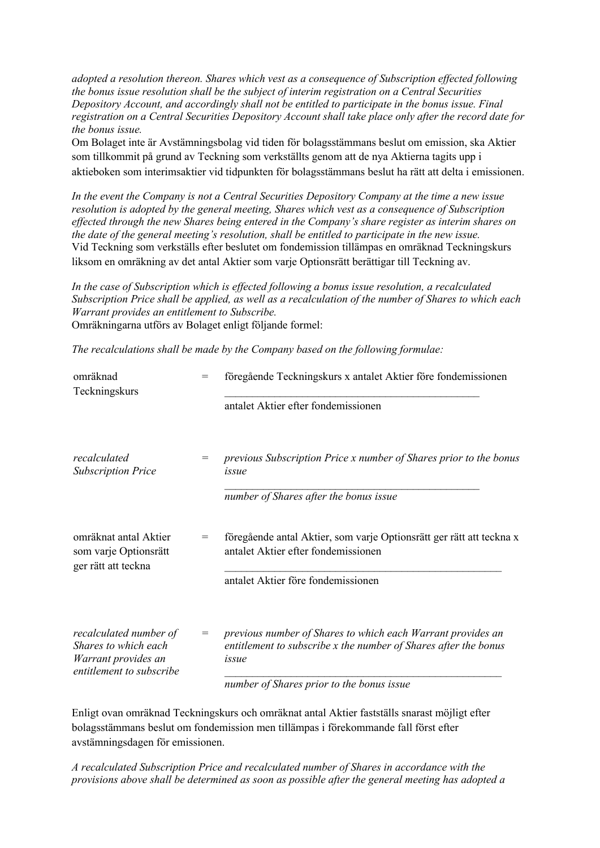*adopted a resolution thereon. Shares which vest as a consequence of Subscription effected following the bonus issue resolution shall be the subject of interim registration on a Central Securities Depository Account, and accordingly shall not be entitled to participate in the bonus issue. Final registration on a Central Securities Depository Account shall take place only after the record date for the bonus issue.*

Om Bolaget inte är Avstämningsbolag vid tiden för bolagsstämmans beslut om emission, ska Aktier som tillkommit på grund av Teckning som verkställts genom att de nya Aktierna tagits upp i aktieboken som interimsaktier vid tidpunkten för bolagsstämmans beslut ha rätt att delta i emissionen.

*In the event the Company is not a Central Securities Depository Company at the time a new issue resolution is adopted by the general meeting, Shares which vest as a consequence of Subscription effected through the new Shares being entered in the Company's share register as interim shares on the date of the general meeting's resolution, shall be entitled to participate in the new issue.* Vid Teckning som verkställs efter beslutet om fondemission tillämpas en omräknad Teckningskurs liksom en omräkning av det antal Aktier som varje Optionsrätt berättigar till Teckning av.

*In the case of Subscription which is effected following a bonus issue resolution, a recalculated Subscription Price shall be applied, as well as a recalculation of the number of Shares to which each Warrant provides an entitlement to Subscribe.* Omräkningarna utförs av Bolaget enligt följande formel:

*The recalculations shall be made by the Company based on the following formulae:*

| omräknad<br>Teckningskurs                                                                         | $=$                                          | föregående Teckningskurs x antalet Aktier före fondemissionen                                                                           |
|---------------------------------------------------------------------------------------------------|----------------------------------------------|-----------------------------------------------------------------------------------------------------------------------------------------|
|                                                                                                   |                                              | antalet Aktier efter fondemissionen                                                                                                     |
| recalculated<br><b>Subscription Price</b>                                                         |                                              | previous Subscription Price x number of Shares prior to the bonus<br>issue                                                              |
|                                                                                                   |                                              | number of Shares after the bonus issue                                                                                                  |
| omräknat antal Aktier<br>som varje Optionsrätt<br>ger rätt att teckna                             | $=$                                          | föregående antal Aktier, som varje Optionsrätt ger rätt att teckna x<br>antalet Aktier efter fondemissionen                             |
|                                                                                                   |                                              | antalet Aktier före fondemissionen                                                                                                      |
| recalculated number of<br>Shares to which each<br>Warrant provides an<br>entitlement to subscribe | $\displaystyle \qquad \qquad =\qquad \qquad$ | previous number of Shares to which each Warrant provides an<br>entitlement to subscribe x the number of Shares after the bonus<br>issue |
|                                                                                                   |                                              | number of Shares prior to the bonus issue                                                                                               |

Enligt ovan omräknad Teckningskurs och omräknat antal Aktier fastställs snarast möjligt efter bolagsstämmans beslut om fondemission men tillämpas i förekommande fall först efter avstämningsdagen för emissionen.

*A recalculated Subscription Price and recalculated number of Shares in accordance with the provisions above shall be determined as soon as possible after the general meeting has adopted a*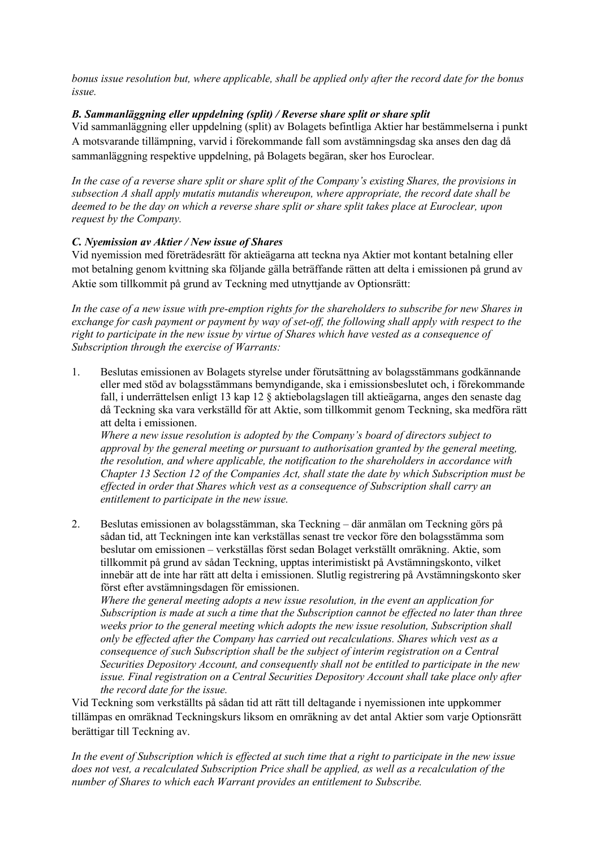*bonus issue resolution but, where applicable, shall be applied only after the record date for the bonus issue.*

### *B. Sammanläggning eller uppdelning (split) / Reverse share split or share split*

Vid sammanläggning eller uppdelning (split) av Bolagets befintliga Aktier har bestämmelserna i punkt A motsvarande tillämpning, varvid i förekommande fall som avstämningsdag ska anses den dag då sammanläggning respektive uppdelning, på Bolagets begäran, sker hos Euroclear.

*In the case of a reverse share split or share split of the Company's existing Shares, the provisions in subsection A shall apply mutatis mutandis whereupon, where appropriate, the record date shall be deemed to be the day on which a reverse share split or share split takes place at Euroclear, upon request by the Company.*

### *C. Nyemission av Aktier / New issue of Shares*

Vid nyemission med företrädesrätt för aktieägarna att teckna nya Aktier mot kontant betalning eller mot betalning genom kvittning ska följande gälla beträffande rätten att delta i emissionen på grund av Aktie som tillkommit på grund av Teckning med utnyttjande av Optionsrätt:

*In the case of a new issue with pre-emption rights for the shareholders to subscribe for new Shares in exchange for cash payment or payment by way of set-off, the following shall apply with respect to the right to participate in the new issue by virtue of Shares which have vested as a consequence of Subscription through the exercise of Warrants:*

1. Beslutas emissionen av Bolagets styrelse under förutsättning av bolagsstämmans godkännande eller med stöd av bolagsstämmans bemyndigande, ska i emissionsbeslutet och, i förekommande fall, i underrättelsen enligt 13 kap 12 § aktiebolagslagen till aktieägarna, anges den senaste dag då Teckning ska vara verkställd för att Aktie, som tillkommit genom Teckning, ska medföra rätt att delta i emissionen.

*Where a new issue resolution is adopted by the Company's board of directors subject to approval by the general meeting or pursuant to authorisation granted by the general meeting, the resolution, and where applicable, the notification to the shareholders in accordance with Chapter 13 Section 12 of the Companies Act, shall state the date by which Subscription must be effected in order that Shares which vest as a consequence of Subscription shall carry an entitlement to participate in the new issue.*

2. Beslutas emissionen av bolagsstämman, ska Teckning – där anmälan om Teckning görs på sådan tid, att Teckningen inte kan verkställas senast tre veckor före den bolagsstämma som beslutar om emissionen – verkställas först sedan Bolaget verkställt omräkning. Aktie, som tillkommit på grund av sådan Teckning, upptas interimistiskt på Avstämningskonto, vilket innebär att de inte har rätt att delta i emissionen. Slutlig registrering på Avstämningskonto sker först efter avstämningsdagen för emissionen.

*Where the general meeting adopts a new issue resolution, in the event an application for Subscription is made at such a time that the Subscription cannot be effected no later than three weeks prior to the general meeting which adopts the new issue resolution, Subscription shall only be effected after the Company has carried out recalculations. Shares which vest as a consequence of such Subscription shall be the subject of interim registration on a Central Securities Depository Account, and consequently shall not be entitled to participate in the new issue. Final registration on a Central Securities Depository Account shall take place only after the record date for the issue.*

Vid Teckning som verkställts på sådan tid att rätt till deltagande i nyemissionen inte uppkommer tillämpas en omräknad Teckningskurs liksom en omräkning av det antal Aktier som varje Optionsrätt berättigar till Teckning av.

*In the event of Subscription which is effected at such time that a right to participate in the new issue does not vest, a recalculated Subscription Price shall be applied, as well as a recalculation of the number of Shares to which each Warrant provides an entitlement to Subscribe.*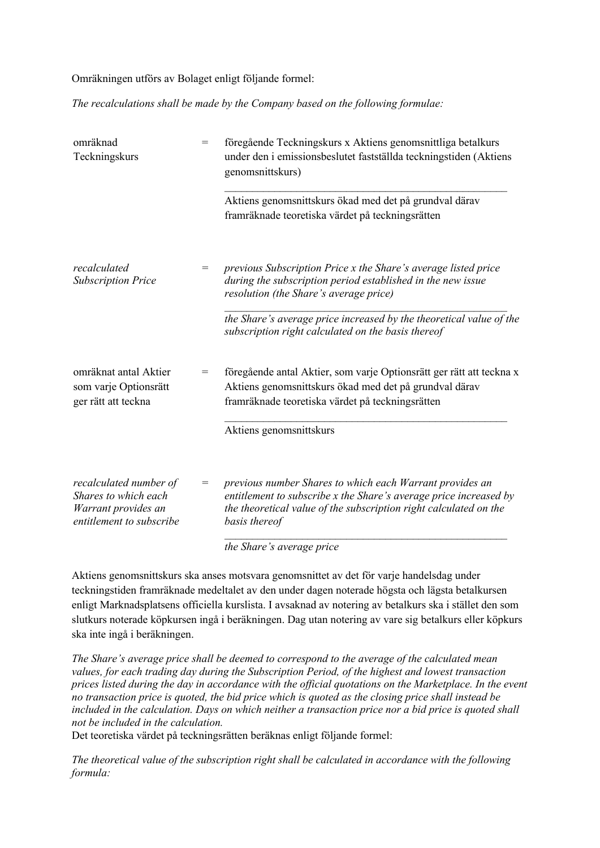Omräkningen utförs av Bolaget enligt följande formel:

*The recalculations shall be made by the Company based on the following formulae:*

| omräknad<br>Teckningskurs                                                                         | $=$ | föregående Teckningskurs x Aktiens genomsnittliga betalkurs<br>under den i emissionsbeslutet fastställda teckningstiden (Aktiens<br>genomsnittskurs)<br>Aktiens genomsnittskurs ökad med det på grundval därav<br>framräknade teoretiska värdet på teckningsrätten                                   |
|---------------------------------------------------------------------------------------------------|-----|------------------------------------------------------------------------------------------------------------------------------------------------------------------------------------------------------------------------------------------------------------------------------------------------------|
| recalculated<br><b>Subscription Price</b>                                                         | $=$ | previous Subscription Price x the Share's average listed price<br>during the subscription period established in the new issue<br>resolution (the Share's average price)<br>the Share's average price increased by the theoretical value of the<br>subscription right calculated on the basis thereof |
| omräknat antal Aktier<br>som varje Optionsrätt<br>ger rätt att teckna                             | =   | föregående antal Aktier, som varje Optionsrätt ger rätt att teckna x<br>Aktiens genomsnittskurs ökad med det på grundval därav<br>framräknade teoretiska värdet på teckningsrätten<br>Aktiens genomsnittskurs                                                                                        |
| recalculated number of<br>Shares to which each<br>Warrant provides an<br>entitlement to subscribe | $=$ | previous number Shares to which each Warrant provides an<br>entitlement to subscribe x the Share's average price increased by<br>the theoretical value of the subscription right calculated on the<br>basis thereof                                                                                  |

*the Share's average price*

Aktiens genomsnittskurs ska anses motsvara genomsnittet av det för varje handelsdag under teckningstiden framräknade medeltalet av den under dagen noterade högsta och lägsta betalkursen enligt Marknadsplatsens officiella kurslista. I avsaknad av notering av betalkurs ska i stället den som slutkurs noterade köpkursen ingå i beräkningen. Dag utan notering av vare sig betalkurs eller köpkurs ska inte ingå i beräkningen.

*The Share's average price shall be deemed to correspond to the average of the calculated mean values, for each trading day during the Subscription Period, of the highest and lowest transaction prices listed during the day in accordance with the official quotations on the Marketplace. In the event no transaction price is quoted, the bid price which is quoted as the closing price shall instead be included in the calculation. Days on which neither a transaction price nor a bid price is quoted shall not be included in the calculation.*

Det teoretiska värdet på teckningsrätten beräknas enligt följande formel:

*The theoretical value of the subscription right shall be calculated in accordance with the following formula:*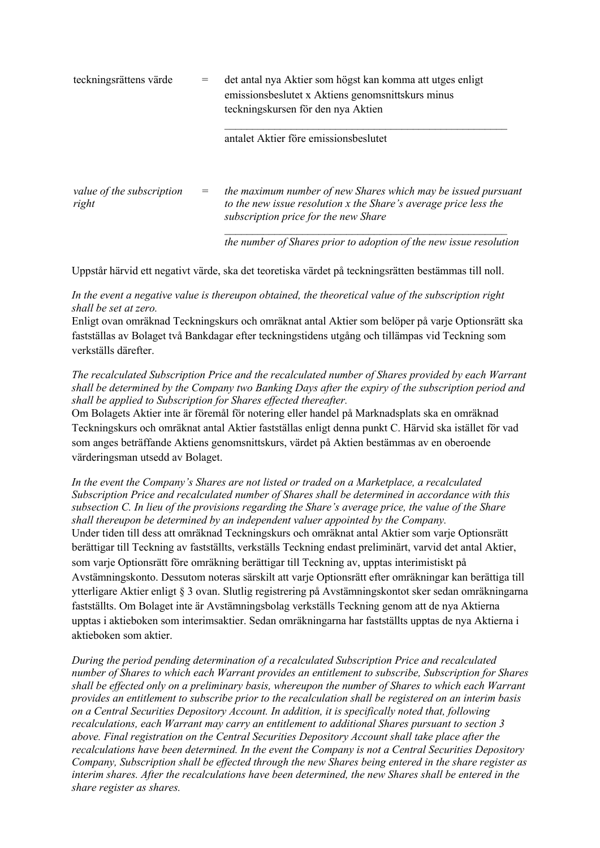| teckningsrättens värde             | det antal nya Aktier som högst kan komma att utges enligt<br>emissionsbeslutet x Aktiens genomsnittskurs minus<br>teckningskursen för den nya Aktien                      |  |  |
|------------------------------------|---------------------------------------------------------------------------------------------------------------------------------------------------------------------------|--|--|
|                                    | antalet Aktier före emissionsbeslutet                                                                                                                                     |  |  |
| value of the subscription<br>right | the maximum number of new Shares which may be issued pursuant<br>to the new issue resolution x the Share's average price less the<br>subscription price for the new Share |  |  |
|                                    | the number of Shares prior to adoption of the new issue resolution                                                                                                        |  |  |

Uppstår härvid ett negativt värde, ska det teoretiska värdet på teckningsrätten bestämmas till noll.

*In the event a negative value is thereupon obtained, the theoretical value of the subscription right shall be set at zero.*

Enligt ovan omräknad Teckningskurs och omräknat antal Aktier som belöper på varje Optionsrätt ska fastställas av Bolaget två Bankdagar efter teckningstidens utgång och tillämpas vid Teckning som verkställs därefter.

*The recalculated Subscription Price and the recalculated number of Shares provided by each Warrant shall be determined by the Company two Banking Days after the expiry of the subscription period and shall be applied to Subscription for Shares effected thereafter.*

Om Bolagets Aktier inte är föremål för notering eller handel på Marknadsplats ska en omräknad Teckningskurs och omräknat antal Aktier fastställas enligt denna punkt C. Härvid ska istället för vad som anges beträffande Aktiens genomsnittskurs, värdet på Aktien bestämmas av en oberoende värderingsman utsedd av Bolaget.

*In the event the Company's Shares are not listed or traded on a Marketplace, a recalculated Subscription Price and recalculated number of Shares shall be determined in accordance with this subsection C. In lieu of the provisions regarding the Share's average price, the value of the Share shall thereupon be determined by an independent valuer appointed by the Company.* Under tiden till dess att omräknad Teckningskurs och omräknat antal Aktier som varje Optionsrätt berättigar till Teckning av fastställts, verkställs Teckning endast preliminärt, varvid det antal Aktier, som varje Optionsrätt före omräkning berättigar till Teckning av, upptas interimistiskt på Avstämningskonto. Dessutom noteras särskilt att varje Optionsrätt efter omräkningar kan berättiga till ytterligare Aktier enligt § 3 ovan. Slutlig registrering på Avstämningskontot sker sedan omräkningarna fastställts. Om Bolaget inte är Avstämningsbolag verkställs Teckning genom att de nya Aktierna upptas i aktieboken som interimsaktier. Sedan omräkningarna har fastställts upptas de nya Aktierna i aktieboken som aktier.

*During the period pending determination of a recalculated Subscription Price and recalculated number of Shares to which each Warrant provides an entitlement to subscribe, Subscription for Shares shall be effected only on a preliminary basis, whereupon the number of Shares to which each Warrant provides an entitlement to subscribe prior to the recalculation shall be registered on an interim basis on a Central Securities Depository Account. In addition, it is specifically noted that, following recalculations, each Warrant may carry an entitlement to additional Shares pursuant to section 3 above. Final registration on the Central Securities Depository Account shall take place after the recalculations have been determined. In the event the Company is not a Central Securities Depository Company, Subscription shall be effected through the new Shares being entered in the share register as interim shares. After the recalculations have been determined, the new Shares shall be entered in the share register as shares.*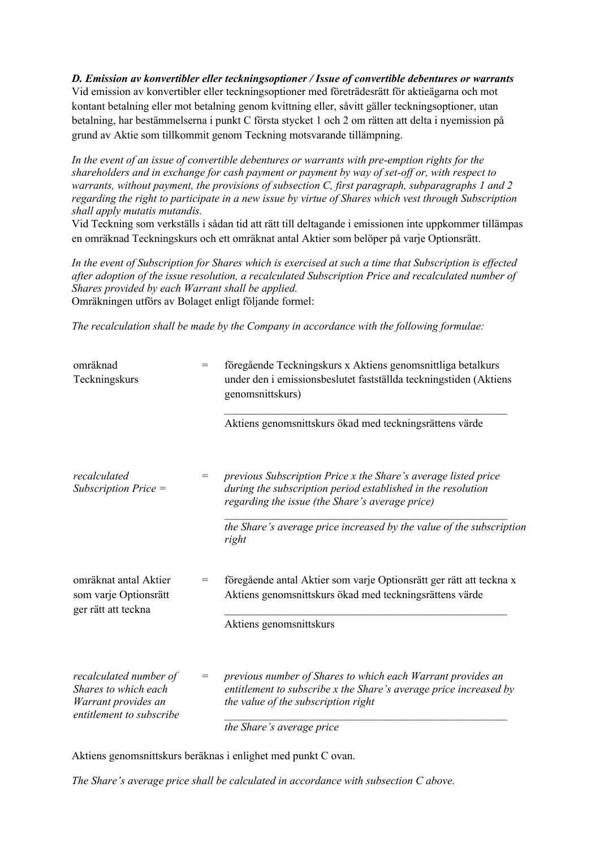*D. Emission av konvertibler eller teckningsoptioner / Issue of convertible debentures or warrants*

Vid emission av konvertibler eller teckningsoptioner med företrädesrätt för aktieägarna och mot kontant betalning eller mot betalning genom kvittning eller, såvitt gäller teckningsoptioner, utan betalning, har bestämmelserna i punkt C första stycket 1 och 2 om rätten att delta i nyemission på grund av Aktie som tillkommit genom Teckning motsvarande tillämpning.

*In the event of an issue of convertible debentures or warrants with pre-emption rights for the shareholders and in exchange for cash payment or payment by way of set-off or, with respect to warrants, without payment, the provisions of subsection C, first paragraph, subparagraphs 1 and 2 regarding the right to participate in a new issue by virtue of Shares which vest through Subscription shall apply mutatis mutandis.*

Vid Teckning som verkställs i sådan tid att rätt till deltagande i emissionen inte uppkommer tillämpas en omräknad Teckningskurs och ett omräknat antal Aktier som belöper på varje Optionsrätt.

*In the event of Subscription for Shares which is exercised at such a time that Subscription is effected after adoption of the issue resolution, a recalculated Subscription Price and recalculated number of Shares provided by each Warrant shall be applied.* Omräkningen utförs av Bolaget enligt följande formel:

*The recalculation shall be made by the Company in accordance with the following formulae:*

| omräknad<br>Teckningskurs                                                                         | $=$ | föregående Teckningskurs x Aktiens genomsnittliga betalkurs<br>under den i emissionsbeslutet fastställda teckningstiden (Aktiens<br>genomsnittskurs)                              |
|---------------------------------------------------------------------------------------------------|-----|-----------------------------------------------------------------------------------------------------------------------------------------------------------------------------------|
|                                                                                                   |     | Aktiens genomsnittskurs ökad med teckningsrättens värde                                                                                                                           |
| recalculated<br>Subscription Price =                                                              | $=$ | previous Subscription Price x the Share's average listed price<br>during the subscription period established in the resolution<br>regarding the issue (the Share's average price) |
|                                                                                                   |     | the Share's average price increased by the value of the subscription<br>right                                                                                                     |
| omräknat antal Aktier<br>som varje Optionsrätt<br>ger rätt att teckna                             | $=$ | föregående antal Aktier som varje Optionsrätt ger rätt att teckna x<br>Aktiens genomsnittskurs ökad med teckningsrättens värde                                                    |
|                                                                                                   |     | Aktiens genomsnittskurs                                                                                                                                                           |
| recalculated number of<br>Shares to which each<br>Warrant provides an<br>entitlement to subscribe | $=$ | previous number of Shares to which each Warrant provides an<br>entitlement to subscribe x the Share's average price increased by<br>the value of the subscription right           |
|                                                                                                   |     | the Share's average price                                                                                                                                                         |

Aktiens genomsnittskurs beräknas i enlighet med punkt C ovan.

*The Share's average price shall be calculated in accordance with subsection C above.*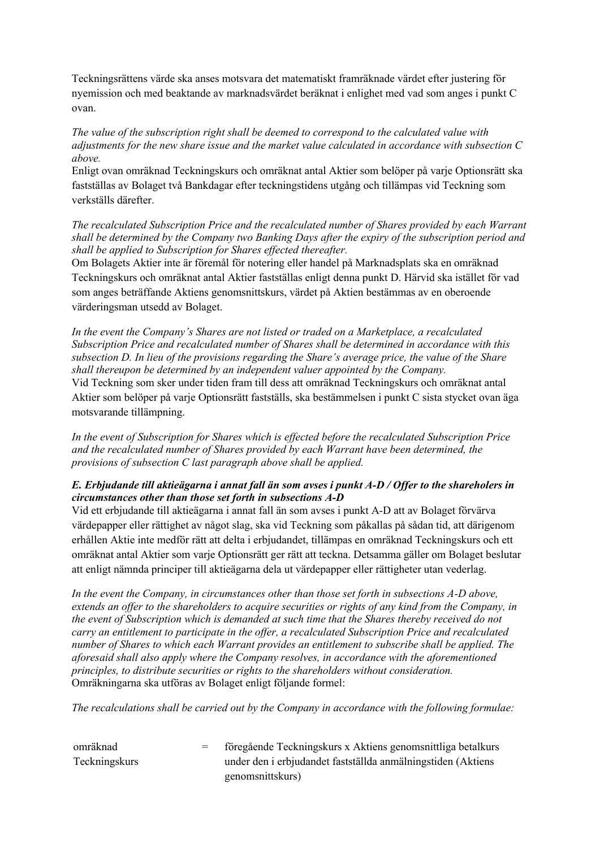Teckningsrättens värde ska anses motsvara det matematiskt framräknade värdet efter justering för nyemission och med beaktande av marknadsvärdet beräknat i enlighet med vad som anges i punkt C ovan.

*The value of the subscription right shall be deemed to correspond to the calculated value with adjustments for the new share issue and the market value calculated in accordance with subsection C above.*

Enligt ovan omräknad Teckningskurs och omräknat antal Aktier som belöper på varje Optionsrätt ska fastställas av Bolaget två Bankdagar efter teckningstidens utgång och tillämpas vid Teckning som verkställs därefter.

*The recalculated Subscription Price and the recalculated number of Shares provided by each Warrant shall be determined by the Company two Banking Days after the expiry of the subscription period and shall be applied to Subscription for Shares effected thereafter.*

Om Bolagets Aktier inte är föremål för notering eller handel på Marknadsplats ska en omräknad Teckningskurs och omräknat antal Aktier fastställas enligt denna punkt D. Härvid ska istället för vad som anges beträffande Aktiens genomsnittskurs, värdet på Aktien bestämmas av en oberoende värderingsman utsedd av Bolaget.

*In the event the Company's Shares are not listed or traded on a Marketplace, a recalculated Subscription Price and recalculated number of Shares shall be determined in accordance with this subsection D. In lieu of the provisions regarding the Share's average price, the value of the Share shall thereupon be determined by an independent valuer appointed by the Company.* Vid Teckning som sker under tiden fram till dess att omräknad Teckningskurs och omräknat antal Aktier som belöper på varje Optionsrätt fastställs, ska bestämmelsen i punkt C sista stycket ovan äga motsvarande tillämpning.

*In the event of Subscription for Shares which is effected before the recalculated Subscription Price and the recalculated number of Shares provided by each Warrant have been determined, the provisions of subsection C last paragraph above shall be applied.*

### *E. Erbjudande till aktieägarna i annat fall än som avses i punkt A-D / Offer to the shareholers in circumstances other than those set forth in subsections A-D*

Vid ett erbjudande till aktieägarna i annat fall än som avses i punkt A-D att av Bolaget förvärva värdepapper eller rättighet av något slag, ska vid Teckning som påkallas på sådan tid, att därigenom erhållen Aktie inte medför rätt att delta i erbjudandet, tillämpas en omräknad Teckningskurs och ett omräknat antal Aktier som varje Optionsrätt ger rätt att teckna. Detsamma gäller om Bolaget beslutar att enligt nämnda principer till aktieägarna dela ut värdepapper eller rättigheter utan vederlag.

*In the event the Company, in circumstances other than those set forth in subsections A-D above, extends an offer to the shareholders to acquire securities or rights of any kind from the Company, in the event of Subscription which is demanded at such time that the Shares thereby received do not carry an entitlement to participate in the offer, a recalculated Subscription Price and recalculated number of Shares to which each Warrant provides an entitlement to subscribe shall be applied. The aforesaid shall also apply where the Company resolves, in accordance with the aforementioned principles, to distribute securities or rights to the shareholders without consideration.* Omräkningarna ska utföras av Bolaget enligt följande formel:

*The recalculations shall be carried out by the Company in accordance with the following formulae:*

omräknad Teckningskurs = föregående Teckningskurs x Aktiens genomsnittliga betalkurs under den i erbjudandet fastställda anmälningstiden (Aktiens genomsnittskurs)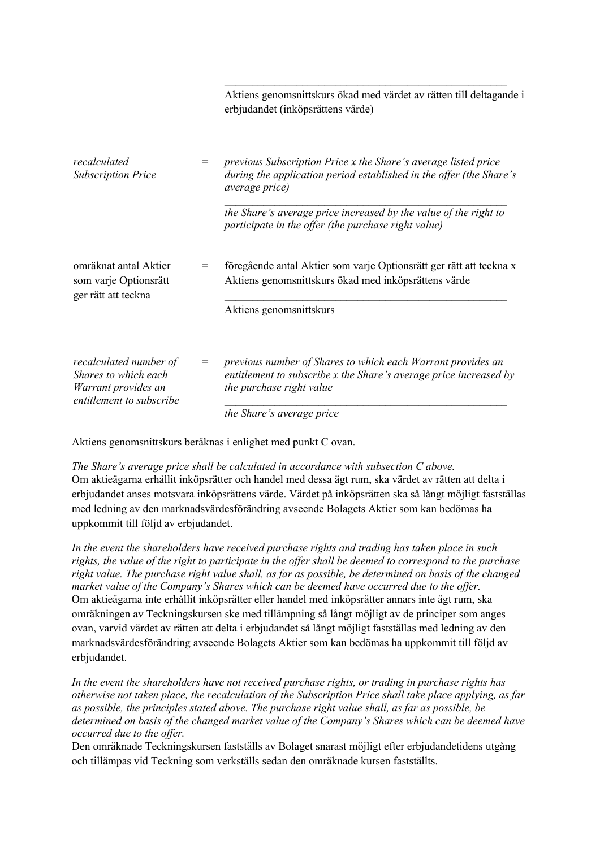Aktiens genomsnittskurs ökad med värdet av rätten till deltagande i erbjudandet (inköpsrättens värde)

 $\mathcal{L}_\text{max}$  and the contract of the contract of the contract of the contract of the contract of the contract of the contract of the contract of the contract of the contract of the contract of the contract of the contrac

| recalculated<br><b>Subscription Price</b>                                                         | $=$ | previous Subscription Price x the Share's average listed price<br>during the application period established in the offer (the Share's<br><i>average price</i> )<br>the Share's average price increased by the value of the right to<br>participate in the offer (the purchase right value) |
|---------------------------------------------------------------------------------------------------|-----|--------------------------------------------------------------------------------------------------------------------------------------------------------------------------------------------------------------------------------------------------------------------------------------------|
| omräknat antal Aktier<br>som varje Optionsrätt<br>ger rätt att teckna                             | $=$ | föregående antal Aktier som varje Optionsrätt ger rätt att teckna x<br>Aktiens genomsnittskurs ökad med inköpsrättens värde<br>Aktiens genomsnittskurs                                                                                                                                     |
| recalculated number of<br>Shares to which each<br>Warrant provides an<br>entitlement to subscribe | $=$ | previous number of Shares to which each Warrant provides an<br>entitlement to subscribe x the Share's average price increased by<br>the purchase right value<br>the Share's average price                                                                                                  |

Aktiens genomsnittskurs beräknas i enlighet med punkt C ovan.

*The Share's average price shall be calculated in accordance with subsection C above.* Om aktieägarna erhållit inköpsrätter och handel med dessa ägt rum, ska värdet av rätten att delta i erbjudandet anses motsvara inköpsrättens värde. Värdet på inköpsrätten ska så långt möjligt fastställas med ledning av den marknadsvärdesförändring avseende Bolagets Aktier som kan bedömas ha uppkommit till följd av erbjudandet.

*In the event the shareholders have received purchase rights and trading has taken place in such rights, the value of the right to participate in the offer shall be deemed to correspond to the purchase right value. The purchase right value shall, as far as possible, be determined on basis of the changed market value of the Company's Shares which can be deemed have occurred due to the offer.* Om aktieägarna inte erhållit inköpsrätter eller handel med inköpsrätter annars inte ägt rum, ska omräkningen av Teckningskursen ske med tillämpning så långt möjligt av de principer som anges ovan, varvid värdet av rätten att delta i erbjudandet så långt möjligt fastställas med ledning av den marknadsvärdesförändring avseende Bolagets Aktier som kan bedömas ha uppkommit till följd av erbjudandet.

*In the event the shareholders have not received purchase rights, or trading in purchase rights has otherwise not taken place, the recalculation of the Subscription Price shall take place applying, as far as possible, the principles stated above. The purchase right value shall, as far as possible, be determined on basis of the changed market value of the Company's Shares which can be deemed have occurred due to the offer.*

Den omräknade Teckningskursen fastställs av Bolaget snarast möjligt efter erbjudandetidens utgång och tillämpas vid Teckning som verkställs sedan den omräknade kursen fastställts.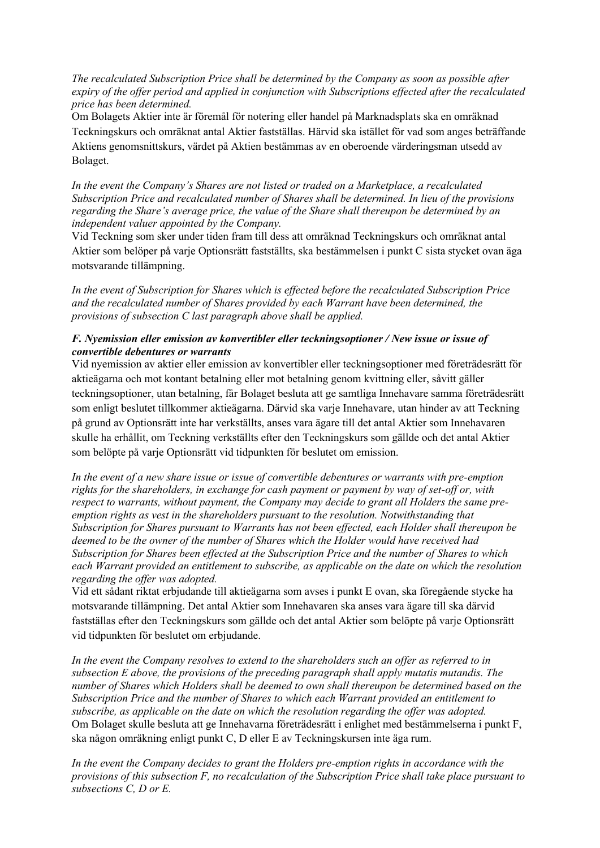*The recalculated Subscription Price shall be determined by the Company as soon as possible after expiry of the offer period and applied in conjunction with Subscriptions effected after the recalculated price has been determined.*

Om Bolagets Aktier inte är föremål för notering eller handel på Marknadsplats ska en omräknad Teckningskurs och omräknat antal Aktier fastställas. Härvid ska istället för vad som anges beträffande Aktiens genomsnittskurs, värdet på Aktien bestämmas av en oberoende värderingsman utsedd av Bolaget.

*In the event the Company's Shares are not listed or traded on a Marketplace, a recalculated Subscription Price and recalculated number of Shares shall be determined. In lieu of the provisions regarding the Share's average price, the value of the Share shall thereupon be determined by an independent valuer appointed by the Company.*

Vid Teckning som sker under tiden fram till dess att omräknad Teckningskurs och omräknat antal Aktier som belöper på varje Optionsrätt fastställts, ska bestämmelsen i punkt C sista stycket ovan äga motsvarande tillämpning.

*In the event of Subscription for Shares which is effected before the recalculated Subscription Price and the recalculated number of Shares provided by each Warrant have been determined, the provisions of subsection C last paragraph above shall be applied.*

### *F. Nyemission eller emission av konvertibler eller teckningsoptioner / New issue or issue of convertible debentures or warrants*

Vid nyemission av aktier eller emission av konvertibler eller teckningsoptioner med företrädesrätt för aktieägarna och mot kontant betalning eller mot betalning genom kvittning eller, såvitt gäller teckningsoptioner, utan betalning, får Bolaget besluta att ge samtliga Innehavare samma företrädesrätt som enligt beslutet tillkommer aktieägarna. Därvid ska varje Innehavare, utan hinder av att Teckning på grund av Optionsrätt inte har verkställts, anses vara ägare till det antal Aktier som Innehavaren skulle ha erhållit, om Teckning verkställts efter den Teckningskurs som gällde och det antal Aktier som belöpte på varje Optionsrätt vid tidpunkten för beslutet om emission.

*In the event of a new share issue or issue of convertible debentures or warrants with pre-emption rights for the shareholders, in exchange for cash payment or payment by way of set-off or, with respect to warrants, without payment, the Company may decide to grant all Holders the same preemption rights as vest in the shareholders pursuant to the resolution. Notwithstanding that Subscription for Shares pursuant to Warrants has not been effected, each Holder shall thereupon be deemed to be the owner of the number of Shares which the Holder would have received had Subscription for Shares been effected at the Subscription Price and the number of Shares to which each Warrant provided an entitlement to subscribe, as applicable on the date on which the resolution regarding the offer was adopted.*

Vid ett sådant riktat erbjudande till aktieägarna som avses i punkt E ovan, ska föregående stycke ha motsvarande tillämpning. Det antal Aktier som Innehavaren ska anses vara ägare till ska därvid fastställas efter den Teckningskurs som gällde och det antal Aktier som belöpte på varje Optionsrätt vid tidpunkten för beslutet om erbjudande.

*In the event the Company resolves to extend to the shareholders such an offer as referred to in subsection E above, the provisions of the preceding paragraph shall apply mutatis mutandis. The number of Shares which Holders shall be deemed to own shall thereupon be determined based on the Subscription Price and the number of Shares to which each Warrant provided an entitlement to subscribe, as applicable on the date on which the resolution regarding the offer was adopted.* Om Bolaget skulle besluta att ge Innehavarna företrädesrätt i enlighet med bestämmelserna i punkt F, ska någon omräkning enligt punkt C, D eller E av Teckningskursen inte äga rum.

*In the event the Company decides to grant the Holders pre-emption rights in accordance with the provisions of this subsection F, no recalculation of the Subscription Price shall take place pursuant to subsections C, D or E.*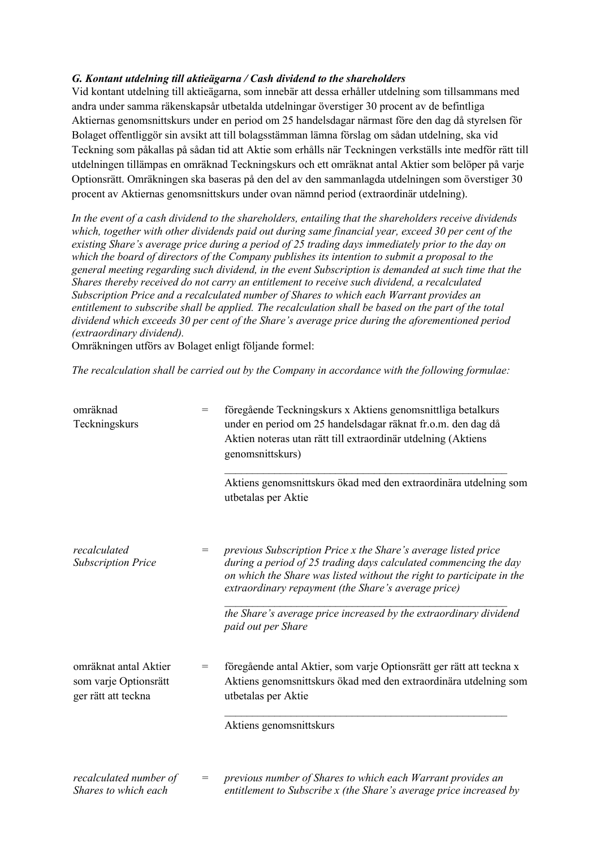### *G. Kontant utdelning till aktieägarna / Cash dividend to the shareholders*

Vid kontant utdelning till aktieägarna, som innebär att dessa erhåller utdelning som tillsammans med andra under samma räkenskapsår utbetalda utdelningar överstiger 30 procent av de befintliga Aktiernas genomsnittskurs under en period om 25 handelsdagar närmast före den dag då styrelsen för Bolaget offentliggör sin avsikt att till bolagsstämman lämna förslag om sådan utdelning, ska vid Teckning som påkallas på sådan tid att Aktie som erhålls när Teckningen verkställs inte medför rätt till utdelningen tillämpas en omräknad Teckningskurs och ett omräknat antal Aktier som belöper på varje Optionsrätt. Omräkningen ska baseras på den del av den sammanlagda utdelningen som överstiger 30 procent av Aktiernas genomsnittskurs under ovan nämnd period (extraordinär utdelning).

*In the event of a cash dividend to the shareholders, entailing that the shareholders receive dividends which, together with other dividends paid out during same financial year, exceed 30 per cent of the existing Share's average price during a period of 25 trading days immediately prior to the day on which the board of directors of the Company publishes its intention to submit a proposal to the general meeting regarding such dividend, in the event Subscription is demanded at such time that the Shares thereby received do not carry an entitlement to receive such dividend, a recalculated Subscription Price and a recalculated number of Shares to which each Warrant provides an entitlement to subscribe shall be applied. The recalculation shall be based on the part of the total dividend which exceeds 30 per cent of the Share's average price during the aforementioned period (extraordinary dividend).*

Omräkningen utförs av Bolaget enligt följande formel:

*The recalculation shall be carried out by the Company in accordance with the following formulae:*

| omräknad<br>Teckningskurs                                             | $=$ | föregående Teckningskurs x Aktiens genomsnittliga betalkurs<br>under en period om 25 handelsdagar räknat fr.o.m. den dag då<br>Aktien noteras utan rätt till extraordinär utdelning (Aktiens<br>genomsnittskurs)<br>Aktiens genomsnittskurs ökad med den extraordinära utdelning som |
|-----------------------------------------------------------------------|-----|--------------------------------------------------------------------------------------------------------------------------------------------------------------------------------------------------------------------------------------------------------------------------------------|
|                                                                       |     | utbetalas per Aktie                                                                                                                                                                                                                                                                  |
| recalculated<br><b>Subscription Price</b>                             | =   | previous Subscription Price x the Share's average listed price<br>during a period of 25 trading days calculated commencing the day<br>on which the Share was listed without the right to participate in the<br>extraordinary repayment (the Share's average price)                   |
|                                                                       |     | the Share's average price increased by the extraordinary dividend<br>paid out per Share                                                                                                                                                                                              |
| omräknat antal Aktier<br>som varje Optionsrätt<br>ger rätt att teckna | $=$ | föregående antal Aktier, som varje Optionsrätt ger rätt att teckna x<br>Aktiens genomsnittskurs ökad med den extraordinära utdelning som<br>utbetalas per Aktie                                                                                                                      |
|                                                                       |     | Aktiens genomsnittskurs                                                                                                                                                                                                                                                              |
| recalculated number of<br>Shares to which each                        | $=$ | previous number of Shares to which each Warrant provides an<br>entitlement to Subscribe x (the Share's average price increased by                                                                                                                                                    |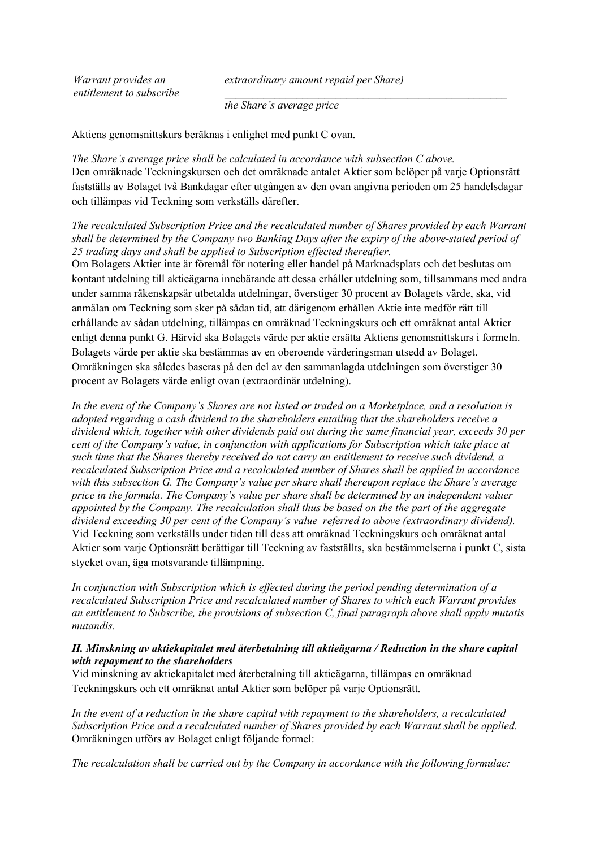*Warrant provides an entitlement to subscribe* *extraordinary amount repaid per Share)*

*\_\_\_\_\_\_\_\_\_\_\_\_\_\_\_\_\_\_\_\_\_\_\_\_\_\_\_\_\_\_\_\_\_\_\_\_\_\_\_\_\_\_\_\_\_\_\_\_\_\_\_*

*the Share's average price*

Aktiens genomsnittskurs beräknas i enlighet med punkt C ovan.

*The Share's average price shall be calculated in accordance with subsection C above.* Den omräknade Teckningskursen och det omräknade antalet Aktier som belöper på varje Optionsrätt fastställs av Bolaget två Bankdagar efter utgången av den ovan angivna perioden om 25 handelsdagar och tillämpas vid Teckning som verkställs därefter.

*The recalculated Subscription Price and the recalculated number of Shares provided by each Warrant shall be determined by the Company two Banking Days after the expiry of the above-stated period of 25 trading days and shall be applied to Subscription effected thereafter.*

Om Bolagets Aktier inte är föremål för notering eller handel på Marknadsplats och det beslutas om kontant utdelning till aktieägarna innebärande att dessa erhåller utdelning som, tillsammans med andra under samma räkenskapsår utbetalda utdelningar, överstiger 30 procent av Bolagets värde, ska, vid anmälan om Teckning som sker på sådan tid, att därigenom erhållen Aktie inte medför rätt till erhållande av sådan utdelning, tillämpas en omräknad Teckningskurs och ett omräknat antal Aktier enligt denna punkt G. Härvid ska Bolagets värde per aktie ersätta Aktiens genomsnittskurs i formeln. Bolagets värde per aktie ska bestämmas av en oberoende värderingsman utsedd av Bolaget. Omräkningen ska således baseras på den del av den sammanlagda utdelningen som överstiger 30 procent av Bolagets värde enligt ovan (extraordinär utdelning).

*In the event of the Company's Shares are not listed or traded on a Marketplace, and a resolution is adopted regarding a cash dividend to the shareholders entailing that the shareholders receive a dividend which, together with other dividends paid out during the same financial year, exceeds 30 per cent of the Company's value, in conjunction with applications for Subscription which take place at such time that the Shares thereby received do not carry an entitlement to receive such dividend, a recalculated Subscription Price and a recalculated number of Shares shall be applied in accordance with this subsection G. The Company's value per share shall thereupon replace the Share's average price in the formula. The Company's value per share shall be determined by an independent valuer appointed by the Company. The recalculation shall thus be based on the the part of the aggregate dividend exceeding 30 per cent of the Company's value referred to above (extraordinary dividend).* Vid Teckning som verkställs under tiden till dess att omräknad Teckningskurs och omräknat antal Aktier som varje Optionsrätt berättigar till Teckning av fastställts, ska bestämmelserna i punkt C, sista stycket ovan, äga motsvarande tillämpning.

*In conjunction with Subscription which is effected during the period pending determination of a recalculated Subscription Price and recalculated number of Shares to which each Warrant provides an entitlement to Subscribe, the provisions of subsection C, final paragraph above shall apply mutatis mutandis.*

#### *H. Minskning av aktiekapitalet med återbetalning till aktieägarna / Reduction in the share capital with repayment to the shareholders*

Vid minskning av aktiekapitalet med återbetalning till aktieägarna, tillämpas en omräknad Teckningskurs och ett omräknat antal Aktier som belöper på varje Optionsrätt.

*In the event of a reduction in the share capital with repayment to the shareholders, a recalculated Subscription Price and a recalculated number of Shares provided by each Warrant shall be applied.* Omräkningen utförs av Bolaget enligt följande formel:

*The recalculation shall be carried out by the Company in accordance with the following formulae:*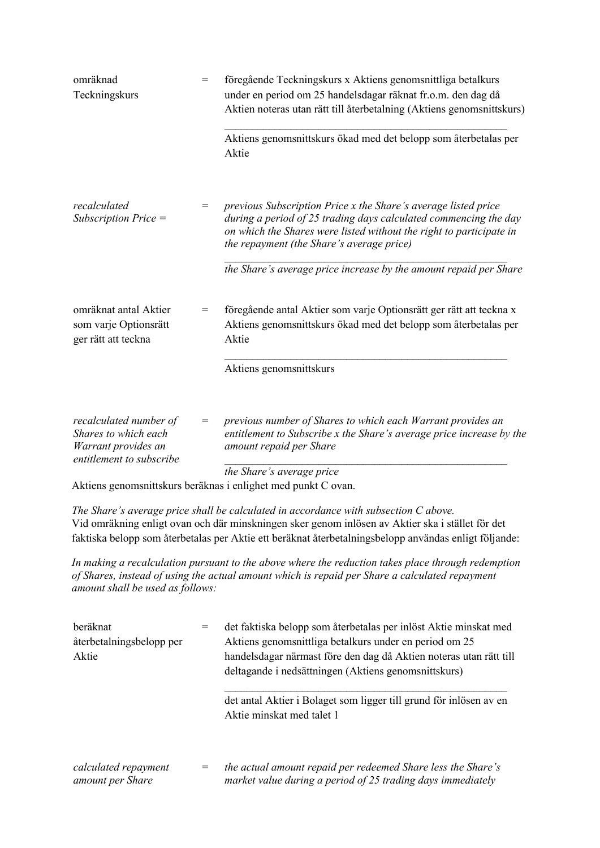| omräknad<br>Teckningskurs                                                                         | $=$ | föregående Teckningskurs x Aktiens genomsnittliga betalkurs<br>under en period om 25 handelsdagar räknat fr.o.m. den dag då<br>Aktien noteras utan rätt till återbetalning (Aktiens genomsnittskurs)                                                   |
|---------------------------------------------------------------------------------------------------|-----|--------------------------------------------------------------------------------------------------------------------------------------------------------------------------------------------------------------------------------------------------------|
|                                                                                                   |     | Aktiens genomsnittskurs ökad med det belopp som återbetalas per<br>Aktie                                                                                                                                                                               |
| recalculated<br>Subscription $Price =$                                                            | $=$ | previous Subscription Price x the Share's average listed price<br>during a period of 25 trading days calculated commencing the day<br>on which the Shares were listed without the right to participate in<br>the repayment (the Share's average price) |
|                                                                                                   |     | the Share's average price increase by the amount repaid per Share                                                                                                                                                                                      |
| omräknat antal Aktier<br>som varje Optionsrätt<br>ger rätt att teckna                             | $=$ | föregående antal Aktier som varje Optionsrätt ger rätt att teckna x<br>Aktiens genomsnittskurs ökad med det belopp som återbetalas per<br>Aktie                                                                                                        |
|                                                                                                   |     | Aktiens genomsnittskurs                                                                                                                                                                                                                                |
| recalculated number of<br>Shares to which each<br>Warrant provides an<br>entitlement to subscribe | $=$ | previous number of Shares to which each Warrant provides an<br>entitlement to Subscribe x the Share's average price increase by the<br>amount repaid per Share                                                                                         |

*the Share's average price*

Aktiens genomsnittskurs beräknas i enlighet med punkt C ovan.

*The Share's average price shall be calculated in accordance with subsection C above.* Vid omräkning enligt ovan och där minskningen sker genom inlösen av Aktier ska i stället för det faktiska belopp som återbetalas per Aktie ett beräknat återbetalningsbelopp användas enligt följande:

*In making a recalculation pursuant to the above where the reduction takes place through redemption of Shares, instead of using the actual amount which is repaid per Share a calculated repayment amount shall be used as follows:*

| beräknat                                 |     | det faktiska belopp som återbetalas per inlöst Aktie minskat med                                                            |
|------------------------------------------|-----|-----------------------------------------------------------------------------------------------------------------------------|
| återbetalningsbelopp per                 |     | Aktiens genomsnittliga betalkurs under en period om 25                                                                      |
| Aktie                                    |     | handelsdagar närmast före den dag då Aktien noteras utan rätt till                                                          |
|                                          |     | deltagande i nedsättningen (Aktiens genomsnittskurs)                                                                        |
|                                          |     | det antal Aktier i Bolaget som ligger till grund för inlösen av en<br>Aktie minskat med talet 1                             |
|                                          |     |                                                                                                                             |
|                                          |     |                                                                                                                             |
| calculated repayment<br>amount per Share | $=$ | the actual amount repaid per redeemed Share less the Share's<br>market value during a period of 25 trading days immediately |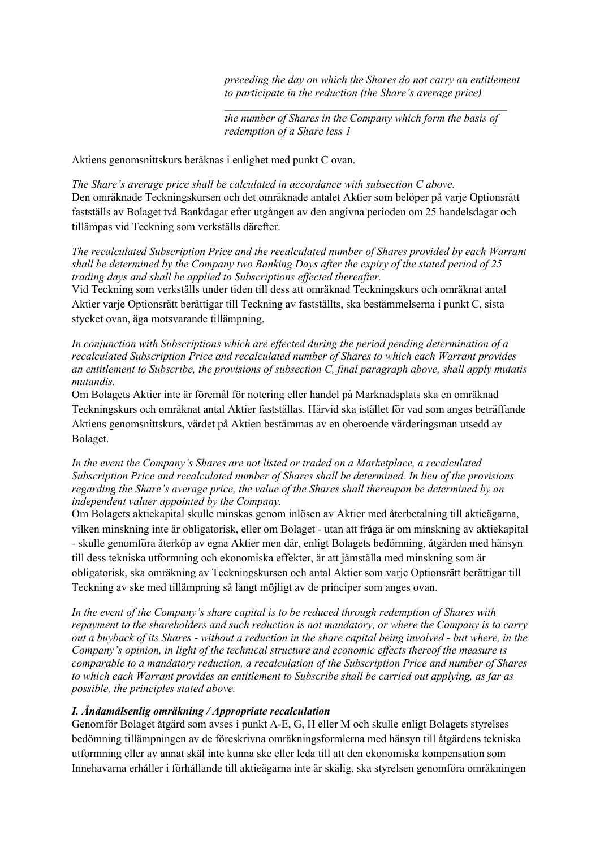*preceding the day on which the Shares do not carry an entitlement to participate in the reduction (the Share's average price)*

 $\mathcal{L}_\mathcal{L} = \{ \mathcal{L}_\mathcal{L} = \{ \mathcal{L}_\mathcal{L} \}$ *the number of Shares in the Company which form the basis of redemption of a Share less 1*

Aktiens genomsnittskurs beräknas i enlighet med punkt C ovan.

*The Share's average price shall be calculated in accordance with subsection C above.* Den omräknade Teckningskursen och det omräknade antalet Aktier som belöper på varje Optionsrätt fastställs av Bolaget två Bankdagar efter utgången av den angivna perioden om 25 handelsdagar och tillämpas vid Teckning som verkställs därefter.

*The recalculated Subscription Price and the recalculated number of Shares provided by each Warrant shall be determined by the Company two Banking Days after the expiry of the stated period of 25 trading days and shall be applied to Subscriptions effected thereafter.*

Vid Teckning som verkställs under tiden till dess att omräknad Teckningskurs och omräknat antal Aktier varje Optionsrätt berättigar till Teckning av fastställts, ska bestämmelserna i punkt C, sista stycket ovan, äga motsvarande tillämpning.

*In conjunction with Subscriptions which are effected during the period pending determination of a recalculated Subscription Price and recalculated number of Shares to which each Warrant provides an entitlement to Subscribe, the provisions of subsection C, final paragraph above, shall apply mutatis mutandis.*

Om Bolagets Aktier inte är föremål för notering eller handel på Marknadsplats ska en omräknad Teckningskurs och omräknat antal Aktier fastställas. Härvid ska istället för vad som anges beträffande Aktiens genomsnittskurs, värdet på Aktien bestämmas av en oberoende värderingsman utsedd av Bolaget.

*In the event the Company's Shares are not listed or traded on a Marketplace, a recalculated Subscription Price and recalculated number of Shares shall be determined. In lieu of the provisions regarding the Share's average price, the value of the Shares shall thereupon be determined by an independent valuer appointed by the Company.*

Om Bolagets aktiekapital skulle minskas genom inlösen av Aktier med återbetalning till aktieägarna, vilken minskning inte är obligatorisk, eller om Bolaget - utan att fråga är om minskning av aktiekapital - skulle genomföra återköp av egna Aktier men där, enligt Bolagets bedömning, åtgärden med hänsyn till dess tekniska utformning och ekonomiska effekter, är att jämställa med minskning som är obligatorisk, ska omräkning av Teckningskursen och antal Aktier som varje Optionsrätt berättigar till Teckning av ske med tillämpning så långt möjligt av de principer som anges ovan.

*In the event of the Company's share capital is to be reduced through redemption of Shares with repayment to the shareholders and such reduction is not mandatory, or where the Company is to carry out a buyback of its Shares - without a reduction in the share capital being involved - but where, in the Company's opinion, in light of the technical structure and economic effects thereof the measure is comparable to a mandatory reduction, a recalculation of the Subscription Price and number of Shares to which each Warrant provides an entitlement to Subscribe shall be carried out applying, as far as possible, the principles stated above.*

#### *I. Ändamålsenlig omräkning / Appropriate recalculation*

Genomför Bolaget åtgärd som avses i punkt A-E, G, H eller M och skulle enligt Bolagets styrelses bedömning tillämpningen av de föreskrivna omräkningsformlerna med hänsyn till åtgärdens tekniska utformning eller av annat skäl inte kunna ske eller leda till att den ekonomiska kompensation som Innehavarna erhåller i förhållande till aktieägarna inte är skälig, ska styrelsen genomföra omräkningen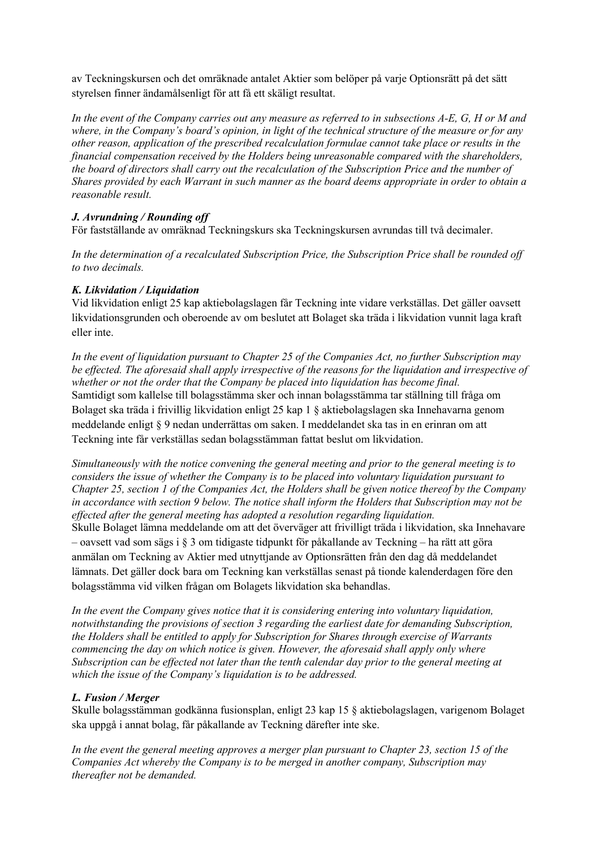av Teckningskursen och det omräknade antalet Aktier som belöper på varje Optionsrätt på det sätt styrelsen finner ändamålsenligt för att få ett skäligt resultat.

*In the event of the Company carries out any measure as referred to in subsections A-E, G, H or M and where, in the Company's board's opinion, in light of the technical structure of the measure or for any other reason, application of the prescribed recalculation formulae cannot take place or results in the financial compensation received by the Holders being unreasonable compared with the shareholders, the board of directors shall carry out the recalculation of the Subscription Price and the number of Shares provided by each Warrant in such manner as the board deems appropriate in order to obtain a reasonable result.*

### *J. Avrundning / Rounding off*

För fastställande av omräknad Teckningskurs ska Teckningskursen avrundas till två decimaler.

*In the determination of a recalculated Subscription Price, the Subscription Price shall be rounded off to two decimals.*

### *K. Likvidation / Liquidation*

Vid likvidation enligt 25 kap aktiebolagslagen får Teckning inte vidare verkställas. Det gäller oavsett likvidationsgrunden och oberoende av om beslutet att Bolaget ska träda i likvidation vunnit laga kraft eller inte.

*In the event of liquidation pursuant to Chapter 25 of the Companies Act, no further Subscription may be effected. The aforesaid shall apply irrespective of the reasons for the liquidation and irrespective of whether or not the order that the Company be placed into liquidation has become final.* Samtidigt som kallelse till bolagsstämma sker och innan bolagsstämma tar ställning till fråga om Bolaget ska träda i frivillig likvidation enligt 25 kap 1 § aktiebolagslagen ska Innehavarna genom meddelande enligt § 9 nedan underrättas om saken. I meddelandet ska tas in en erinran om att Teckning inte får verkställas sedan bolagsstämman fattat beslut om likvidation.

*Simultaneously with the notice convening the general meeting and prior to the general meeting is to considers the issue of whether the Company is to be placed into voluntary liquidation pursuant to Chapter 25, section 1 of the Companies Act, the Holders shall be given notice thereof by the Company in accordance with section 9 below. The notice shall inform the Holders that Subscription may not be effected after the general meeting has adopted a resolution regarding liquidation.*

Skulle Bolaget lämna meddelande om att det överväger att frivilligt träda i likvidation, ska Innehavare – oavsett vad som sägs i § 3 om tidigaste tidpunkt för påkallande av Teckning – ha rätt att göra anmälan om Teckning av Aktier med utnyttjande av Optionsrätten från den dag då meddelandet lämnats. Det gäller dock bara om Teckning kan verkställas senast på tionde kalenderdagen före den bolagsstämma vid vilken frågan om Bolagets likvidation ska behandlas.

*In the event the Company gives notice that it is considering entering into voluntary liquidation, notwithstanding the provisions of section 3 regarding the earliest date for demanding Subscription, the Holders shall be entitled to apply for Subscription for Shares through exercise of Warrants commencing the day on which notice is given. However, the aforesaid shall apply only where Subscription can be effected not later than the tenth calendar day prior to the general meeting at which the issue of the Company's liquidation is to be addressed.*

### *L. Fusion / Merger*

Skulle bolagsstämman godkänna fusionsplan, enligt 23 kap 15 § aktiebolagslagen, varigenom Bolaget ska uppgå i annat bolag, får påkallande av Teckning därefter inte ske.

*In the event the general meeting approves a merger plan pursuant to Chapter 23, section 15 of the Companies Act whereby the Company is to be merged in another company, Subscription may thereafter not be demanded.*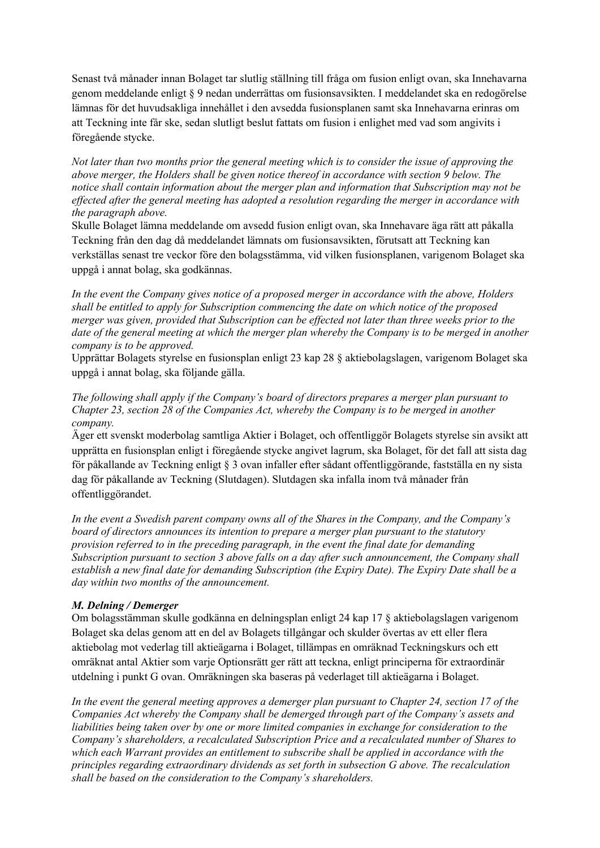Senast två månader innan Bolaget tar slutlig ställning till fråga om fusion enligt ovan, ska Innehavarna genom meddelande enligt § 9 nedan underrättas om fusionsavsikten. I meddelandet ska en redogörelse lämnas för det huvudsakliga innehållet i den avsedda fusionsplanen samt ska Innehavarna erinras om att Teckning inte får ske, sedan slutligt beslut fattats om fusion i enlighet med vad som angivits i föregående stycke.

*Not later than two months prior the general meeting which is to consider the issue of approving the above merger, the Holders shall be given notice thereof in accordance with section 9 below. The notice shall contain information about the merger plan and information that Subscription may not be effected after the general meeting has adopted a resolution regarding the merger in accordance with the paragraph above.*

Skulle Bolaget lämna meddelande om avsedd fusion enligt ovan, ska Innehavare äga rätt att påkalla Teckning från den dag då meddelandet lämnats om fusionsavsikten, förutsatt att Teckning kan verkställas senast tre veckor före den bolagsstämma, vid vilken fusionsplanen, varigenom Bolaget ska uppgå i annat bolag, ska godkännas.

*In the event the Company gives notice of a proposed merger in accordance with the above, Holders shall be entitled to apply for Subscription commencing the date on which notice of the proposed merger was given, provided that Subscription can be effected not later than three weeks prior to the date of the general meeting at which the merger plan whereby the Company is to be merged in another company is to be approved.*

Upprättar Bolagets styrelse en fusionsplan enligt 23 kap 28 § aktiebolagslagen, varigenom Bolaget ska uppgå i annat bolag, ska följande gälla.

*The following shall apply if the Company's board of directors prepares a merger plan pursuant to Chapter 23, section 28 of the Companies Act, whereby the Company is to be merged in another company.*

Äger ett svenskt moderbolag samtliga Aktier i Bolaget, och offentliggör Bolagets styrelse sin avsikt att upprätta en fusionsplan enligt i föregående stycke angivet lagrum, ska Bolaget, för det fall att sista dag för påkallande av Teckning enligt § 3 ovan infaller efter sådant offentliggörande, fastställa en ny sista dag för påkallande av Teckning (Slutdagen). Slutdagen ska infalla inom två månader från offentliggörandet.

*In the event a Swedish parent company owns all of the Shares in the Company, and the Company's board of directors announces its intention to prepare a merger plan pursuant to the statutory provision referred to in the preceding paragraph, in the event the final date for demanding Subscription pursuant to section 3 above falls on a day after such announcement, the Company shall establish a new final date for demanding Subscription (the Expiry Date). The Expiry Date shall be a day within two months of the announcement.*

### *M. Delning / Demerger*

Om bolagsstämman skulle godkänna en delningsplan enligt 24 kap 17 § aktiebolagslagen varigenom Bolaget ska delas genom att en del av Bolagets tillgångar och skulder övertas av ett eller flera aktiebolag mot vederlag till aktieägarna i Bolaget, tillämpas en omräknad Teckningskurs och ett omräknat antal Aktier som varje Optionsrätt ger rätt att teckna, enligt principerna för extraordinär utdelning i punkt G ovan. Omräkningen ska baseras på vederlaget till aktieägarna i Bolaget.

In the event the general meeting approves a demerger plan pursuant to Chapter 24, section 17 of the *Companies Act whereby the Company shall be demerged through part of the Company's assets and*  liabilities being taken over by one or more limited companies in exchange for consideration to the *Company's shareholders, a recalculated Subscription Price and a recalculated number of Shares to which each Warrant provides an entitlement to subscribe shall be applied in accordance with the principles regarding extraordinary dividends as set forth in subsection G above. The recalculation shall be based on the consideration to the Company's shareholders.*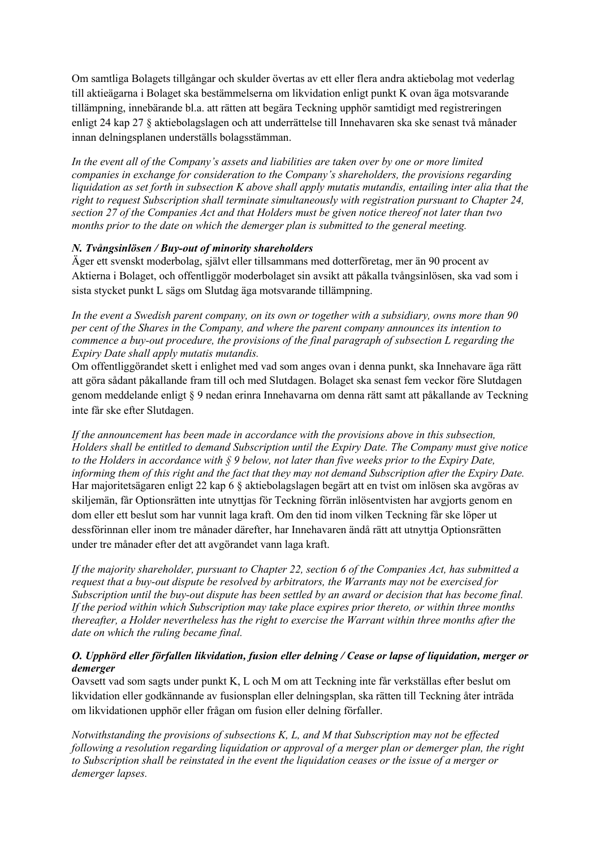Om samtliga Bolagets tillgångar och skulder övertas av ett eller flera andra aktiebolag mot vederlag till aktieägarna i Bolaget ska bestämmelserna om likvidation enligt punkt K ovan äga motsvarande tillämpning, innebärande bl.a. att rätten att begära Teckning upphör samtidigt med registreringen enligt 24 kap 27 § aktiebolagslagen och att underrättelse till Innehavaren ska ske senast två månader innan delningsplanen underställs bolagsstämman.

*In the event all of the Company's assets and liabilities are taken over by one or more limited companies in exchange for consideration to the Company's shareholders, the provisions regarding liquidation as set forth in subsection K above shall apply mutatis mutandis, entailing inter alia that the right to request Subscription shall terminate simultaneously with registration pursuant to Chapter 24, section 27 of the Companies Act and that Holders must be given notice thereof not later than two months prior to the date on which the demerger plan is submitted to the general meeting.*

### *N. Tvångsinlösen / Buy-out of minority shareholders*

Äger ett svenskt moderbolag, självt eller tillsammans med dotterföretag, mer än 90 procent av Aktierna i Bolaget, och offentliggör moderbolaget sin avsikt att påkalla tvångsinlösen, ska vad som i sista stycket punkt L sägs om Slutdag äga motsvarande tillämpning.

*In the event a Swedish parent company, on its own or together with a subsidiary, owns more than 90 per cent of the Shares in the Company, and where the parent company announces its intention to commence a buy-out procedure, the provisions of the final paragraph of subsection L regarding the Expiry Date shall apply mutatis mutandis.*

Om offentliggörandet skett i enlighet med vad som anges ovan i denna punkt, ska Innehavare äga rätt att göra sådant påkallande fram till och med Slutdagen. Bolaget ska senast fem veckor före Slutdagen genom meddelande enligt § 9 nedan erinra Innehavarna om denna rätt samt att påkallande av Teckning inte får ske efter Slutdagen.

*If the announcement has been made in accordance with the provisions above in this subsection, Holders shall be entitled to demand Subscription until the Expiry Date. The Company must give notice to the Holders in accordance with § 9 below, not later than five weeks prior to the Expiry Date, informing them of this right and the fact that they may not demand Subscription after the Expiry Date.* Har majoritetsägaren enligt 22 kap 6 § aktiebolagslagen begärt att en tvist om inlösen ska avgöras av skiljemän, får Optionsrätten inte utnyttjas för Teckning förrän inlösentvisten har avgjorts genom en dom eller ett beslut som har vunnit laga kraft. Om den tid inom vilken Teckning får ske löper ut dessförinnan eller inom tre månader därefter, har Innehavaren ändå rätt att utnyttja Optionsrätten under tre månader efter det att avgörandet vann laga kraft.

*If the majority shareholder, pursuant to Chapter 22, section 6 of the Companies Act, has submitted a request that a buy-out dispute be resolved by arbitrators, the Warrants may not be exercised for Subscription until the buy-out dispute has been settled by an award or decision that has become final. If the period within which Subscription may take place expires prior thereto, or within three months thereafter, a Holder nevertheless has the right to exercise the Warrant within three months after the date on which the ruling became final.*

### *O. Upphörd eller förfallen likvidation, fusion eller delning / Cease or lapse of liquidation, merger or demerger*

Oavsett vad som sagts under punkt K, L och M om att Teckning inte får verkställas efter beslut om likvidation eller godkännande av fusionsplan eller delningsplan, ska rätten till Teckning åter inträda om likvidationen upphör eller frågan om fusion eller delning förfaller.

*Notwithstanding the provisions of subsections K, L, and M that Subscription may not be effected following a resolution regarding liquidation or approval of a merger plan or demerger plan, the right to Subscription shall be reinstated in the event the liquidation ceases or the issue of a merger or demerger lapses.*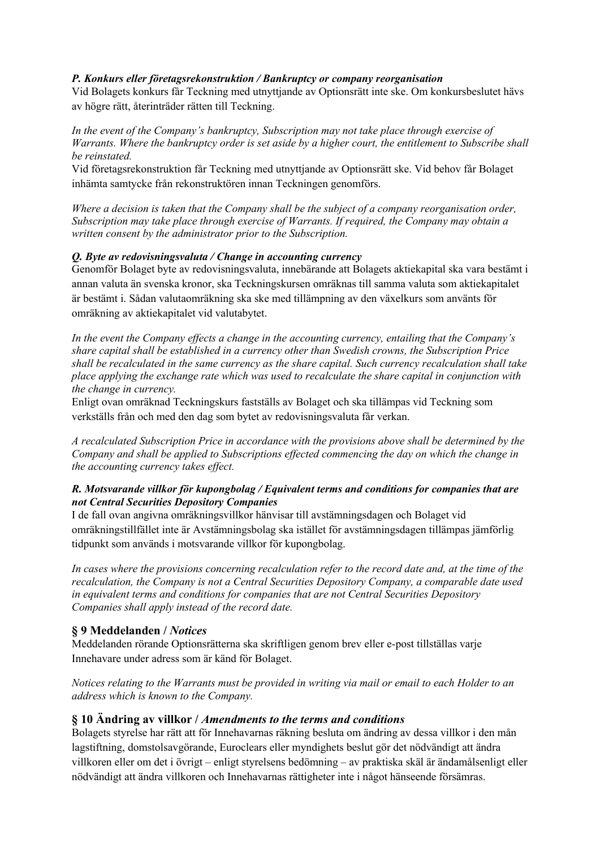### *P. Konkurs eller företagsrekonstruktion / Bankruptcy or company reorganisation*

Vid Bolagets konkurs får Teckning med utnyttjande av Optionsrätt inte ske. Om konkursbeslutet hävs av högre rätt, återinträder rätten till Teckning.

*In the event of the Company's bankruptcy, Subscription may not take place through exercise of Warrants. Where the bankruptcy order is set aside by a higher court, the entitlement to Subscribe shall be reinstated.*

Vid företagsrekonstruktion får Teckning med utnyttjande av Optionsrätt ske. Vid behov får Bolaget inhämta samtycke från rekonstruktören innan Teckningen genomförs.

*Where a decision is taken that the Company shall be the subject of a company reorganisation order, Subscription may take place through exercise of Warrants. If required, the Company may obtain a written consent by the administrator prior to the Subscription.*

### *Q. Byte av redovisningsvaluta / Change in accounting currency*

Genomför Bolaget byte av redovisningsvaluta, innebärande att Bolagets aktiekapital ska vara bestämt i annan valuta än svenska kronor, ska Teckningskursen omräknas till samma valuta som aktiekapitalet är bestämt i. Sådan valutaomräkning ska ske med tillämpning av den växelkurs som använts för omräkning av aktiekapitalet vid valutabytet.

*In the event the Company effects a change in the accounting currency, entailing that the Company's share capital shall be established in a currency other than Swedish crowns, the Subscription Price shall be recalculated in the same currency as the share capital. Such currency recalculation shall take place applying the exchange rate which was used to recalculate the share capital in conjunction with the change in currency.*

Enligt ovan omräknad Teckningskurs fastställs av Bolaget och ska tillämpas vid Teckning som verkställs från och med den dag som bytet av redovisningsvaluta får verkan.

*A recalculated Subscription Price in accordance with the provisions above shall be determined by the Company and shall be applied to Subscriptions effected commencing the day on which the change in the accounting currency takes effect.*

### *R. Motsvarande villkor för kupongbolag / Equivalent terms and conditions for companies that are not Central Securities Depository Companies*

I de fall ovan angivna omräkningsvillkor hänvisar till avstämningsdagen och Bolaget vid omräkningstillfället inte är Avstämningsbolag ska istället för avstämningsdagen tillämpas jämförlig tidpunkt som används i motsvarande villkor för kupongbolag.

In cases where the provisions concerning recalculation refer to the record date and, at the time of the *recalculation, the Company is not a Central Securities Depository Company, a comparable date used in equivalent terms and conditions for companies that are not Central Securities Depository Companies shall apply instead of the record date.*

### **§ 9 Meddelanden /** *Notices*

Meddelanden rörande Optionsrätterna ska skriftligen genom brev eller e-post tillställas varje Innehavare under adress som är känd för Bolaget.

*Notices relating to the Warrants must be provided in writing via mail or email to each Holder to an address which is known to the Company.*

### **§ 10 Ändring av villkor /** *Amendments to the terms and conditions*

Bolagets styrelse har rätt att för Innehavarnas räkning besluta om ändring av dessa villkor i den mån lagstiftning, domstolsavgörande, Euroclears eller myndighets beslut gör det nödvändigt att ändra villkoren eller om det i övrigt – enligt styrelsens bedömning – av praktiska skäl är ändamålsenligt eller nödvändigt att ändra villkoren och Innehavarnas rättigheter inte i något hänseende försämras.